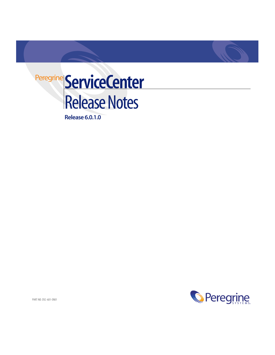

**Release 6.0.1.0**



PART NO: DSC-601-EN01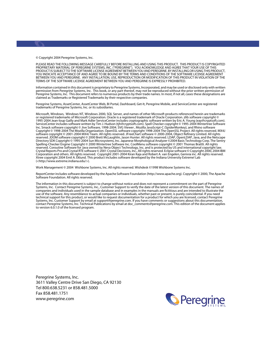© Copyright 2004 Peregrine Systems, Inc.

PLEASE READ THE FOLLOWING MESSAGE CAREFULLY BEFORE INSTALLING AND USING THIS PRODUCT. THIS PRODUCT IS COPYRIGHTED PROPRIETARY MATERIAL OF PEREGRINE SYSTEMS, INC. ("PEREGRINE"). YOU ACKNOWLEDGE AND AGREE THAT YOUR USE OF THIS PRODUCT IS SUBJECT TO THE SOFTWARE LICENSE AGREEMENT BETWEEN YOU AND PEREGRINE. BY INSTALLING OR USING THIS PRODUCT, YOU INDICATE ACCEPTANCE OF AND AGREE TO BE BOUND BY THE TERMS AND CONDITIONS OF THE SOFTWARE LICENSE AGREEMENT BETWEEN YOU AND PEREGRINE. ANY INSTALLATION, USE, REPRODUCTION OR MODIFICATION OF THIS PRODUCT IN VIOLATION OF THE TERMS OF THE SOFTWARE LICENSE AGREEMENT BETWEEN YOU AND PEREGRINE IS EXPRESSLY PROHIBITED.

Information contained in this document is proprietary to Peregrine Systems, Incorporated, and may be used or disclosed only with written permission from Peregrine Systems, Inc. This book, or any part thereof, may not be reproduced without the prior written permission of Peregrine Systems, Inc. This document refers to numerous products by their trade names. In most, if not all, cases these designations are claimed as Trademarks or Registered Trademarks by their respective companies.

Peregrine Systems, AssetCenter, AssetCenter Web, BI Portal, Dashboard, Get-It, Peregrine Mobile, and ServiceCenter are registered trademarks of Peregrine Systems, Inc. or its subsidiaries.

Microsoft, Windows, Windows NT, Windows 2000, SQL Server, and names of other Microsoft products referenced herein are trademarks or registered trademarks of Microsoft Corporation. Oracle is a registered trademark of Oracle Corporation. zlib software copyright © 1995-2004 Jean-loup Gailly and Mark Adler ServiceCenter includes cryptographic software written by Eric A. Young (eay@cryptsoft.com). ServiceCenter includes software written by Tim J. Hudson (tjh@cryptsoft.com). Spell Checker copyright © 1995-2004 Wintertree Software Inc. Smack software copyright © Jive Software, 1998-2004. SVG Viewer , Mozilla JavaScript-C (SpiderMonkey), and Rhino software Copyright © 1998-2004 The Mozilla Organization. OpenSSL software copyright 1998-2004 The OpenSSL Project. All rights reserved. MX4J software copyright © 2001-2004 MX4J Team. All rights reserved. JFreeChart software © 2000-2004, Object Refinery Limited. All rights reserved. JDOM software copyright © 2000 Brett McLaughlin, Jason Hunter. All rights reserved. LDAP, OpenLDAP, Java, and the Netscape Directory SDK Copyright © 1995-2004 Sun Microsystems, Inc. Japanese Morphological Analyzer ©2004 Basis Technology Corp. The Sentry<br>Spelling-Checker Engine Copyright © 2000 Wintertree Software Inc. CoolMenu software copyri reserved. Coroutine Software for Java owned by Neva Object Technology, Inc. and is protected by US and international copyright law. Crystal Reports Pro and Crystal RTE software © 2001 Crystal Decisions, Inc., All rights reserved. Eclipse software © Copyright 2000, 2004 IBM Corporation and others. All rights reserved. Copyright 2001-2004 Kiran Kaja and Robert A. van Engelen, Genivia inc. All rights reserved. Xtree copyright 2004 Emil A. Eklund. This product includes software developed by the Indiana University Extreme! Lab (<http://www.extreme.indiana.edu/>).

Work Management © 2004 Wishbone Systems, Inc. All rights reserved. Wishdesk ©1998 Wishbone Systems Inc.

ReportCenter includes software developed by the Apache Software Foundation (http://www.apache.org). Copyright © 2000, The Apache Software Foundation. All rights reserved.

The information in this document is subject to change without notice and does not represent a commitment on the part of Peregrine [Systems, Inc. Contact Peregrine Systems, Inc., Customer Support to verify the date of the latest version of this document. The names of](mailto:support@peregrine.com)  companies and individuals used in the sample database and in examples in the manuals are fictitious and are intended to illustrate the use of the software. Any resemblance to actual companies or individuals, whether past or present, is purely coincidental. If you need technical support for this product, or would like to request documentation for a product for which you are licensed, contact Peregrine Systems, Inc. Customer Support by email at support@peregrine.com. If you have comments or suggestions about this documentation, [contact Peregrine Systems, Inc. Technical Publications by email at](mailto:support@peregrine.com) [doc\\_comments@peregrine.com. This edition of the document applies](mailto:doc_comments@peregrine.com)  [to version 6.0.1.0 of the licensed program.](mailto:doc_comments@peregrine.com)

Peregrine Systems, Inc. 3611 Valley Centre Drive San Diego, CA 92130 Tel 800.638.5231 or 858.481.5000 Fax 858.481.1751 www.peregrine.com

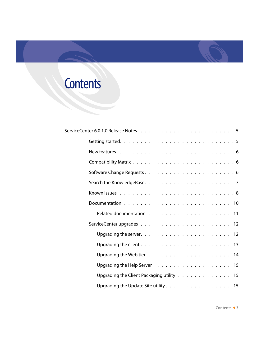# **Contents**

| Upgrading the client $\ldots \ldots \ldots \ldots \ldots \ldots \ldots \ldots$ |
|--------------------------------------------------------------------------------|
|                                                                                |
|                                                                                |
| Upgrading the Client Packaging utility 15                                      |
| Upgrading the Update Site utility. $\ldots$ . 15                               |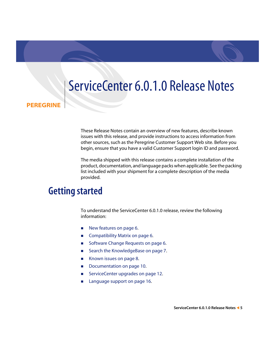# <span id="page-4-0"></span>ServiceCenter 6.0.1.0 Release Notes

#### **PEREGRINE**

These Release Notes contain an overview of new features, describe known issues with this release, and provide instructions to access information from other sources, such as the Peregrine Customer Support Web site. Before you begin, ensure that you have a valid Customer Support login ID and password.

The media shipped with this release contains a complete installation of the product, documentation, and language packs when applicable. See the packing list included with your shipment for a complete description of the media provided.

# <span id="page-4-1"></span>**Getting started**

To understand the ServiceCenter 6.0.1.0 release, review the following information:

- [New features on page 6](#page-5-0).
- [Compatibility Matrix on page 6](#page-5-1).
- [Software Change Requests on page 6](#page-5-2).
- [Search the KnowledgeBase on page 7.](#page-6-0)
- [Known issues on page 8.](#page-7-0)
- [Documentation on page 10.](#page-9-0)
- [ServiceCenter upgrades on page 12.](#page-11-0)
- **[Language support on page 16](#page-15-0).**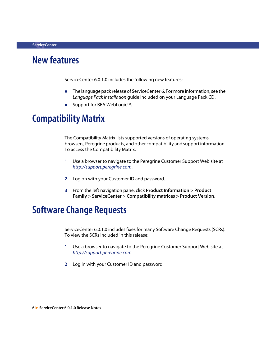## <span id="page-5-0"></span>**New features**

ServiceCenter 6.0.1.0 includes the following new features:

- The language pack release of ServiceCenter 6. For more information, see the *Language Pack Installation* guide included on your Language Pack CD.
- Support for BEA WebLogic™.

# <span id="page-5-1"></span>**Compatibility Matrix**

The Compatibility Matrix lists supported versions of operating systems, browsers, Peregrine products, and other compatibility and support information. To access the Compatibility Matrix:

- **1** Use a browser to navigate to the Peregrine Customer Support Web site at *[http://support.peregrine.com](http://support.peregrine.com/)*.
- **2** Log on with your Customer ID and password.
- **3** From the left navigation pane, click **Product Information** > **Product Family** > **ServiceCenter** > **Compatibility matrices > Product Version**.

# <span id="page-5-2"></span>**Software Change Requests**

ServiceCenter 6.0.1.0 includes fixes for many Software Change Requests (SCRs). To view the SCRs included in this release:

- **1** Use a browser to navigate to the Peregrine Customer Support Web site at *[http://support.peregrine.com](http://support.peregrine.com/)*.
- **2** Log in with your Customer ID and password.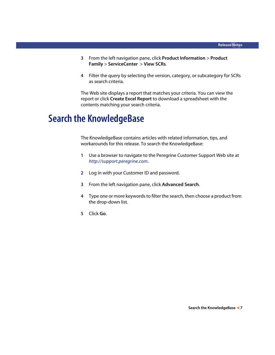- **3** From the left navigation pane, click **Product Information** > **Product Family** > **ServiceCenter** > **View SCRs**.
- **4** Filter the query by selecting the version, category, or subcategory for SCRs as search criteria.

The Web site displays a report that matches your criteria. You can view the report or click **Create Excel Report** to download a spreadsheet with the contents matching your search criteria.

# <span id="page-6-0"></span>**Search the KnowledgeBase**

The KnowledgeBase contains articles with related information, tips, and workarounds for this release. To search the KnowledgeBase:

- **1** Use a browser to navigate to the Peregrine Customer Support Web site at *[http://support.peregrine.com](http://support.peregrine.com/)*.
- **2** Log in with your Customer ID and password.
- **3** From the left navigation pane, click **Advanced Search**.
- **4** Type one or more keywords to filter the search, then choose a product from the drop-down list.
- **5** Click **Go**.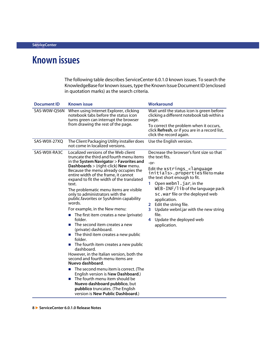# <span id="page-7-0"></span>**Known issues**

The following table describes ServiceCenter 6.0.1.0 known issues. To search the KnowledgeBase for known issues, type the Known Issue Document ID (enclosed in quotation marks) as the search criteria.

| <b>Document ID</b> | <b>Known issue</b>                                                                                                                                                                                                                                                                                                                                                                                                                                                                                                                                                                                                                                                                                                                                                                                                                                                                                                                                                                                                                                                                                            | Workaround                                                                                                                                                                                                                                                                                                                                                                                                                               |
|--------------------|---------------------------------------------------------------------------------------------------------------------------------------------------------------------------------------------------------------------------------------------------------------------------------------------------------------------------------------------------------------------------------------------------------------------------------------------------------------------------------------------------------------------------------------------------------------------------------------------------------------------------------------------------------------------------------------------------------------------------------------------------------------------------------------------------------------------------------------------------------------------------------------------------------------------------------------------------------------------------------------------------------------------------------------------------------------------------------------------------------------|------------------------------------------------------------------------------------------------------------------------------------------------------------------------------------------------------------------------------------------------------------------------------------------------------------------------------------------------------------------------------------------------------------------------------------------|
| SAS-W0W-Q56N       | When using Internet Explorer, clicking<br>notebook tabs before the status icon<br>turns green can interrupt the browser<br>from drawing the rest of the page.                                                                                                                                                                                                                                                                                                                                                                                                                                                                                                                                                                                                                                                                                                                                                                                                                                                                                                                                                 | Wait until the status icon is green before<br>clicking a different notebook tab within a<br>page.<br>To correct the problem when it occurs,<br>click Refresh, or if you are in a record list,<br>click the record again.                                                                                                                                                                                                                 |
| SAS-W0X-27XQ       | The Client Packaging Utility installer does<br>not come in localized versions.                                                                                                                                                                                                                                                                                                                                                                                                                                                                                                                                                                                                                                                                                                                                                                                                                                                                                                                                                                                                                                | Use the English version.                                                                                                                                                                                                                                                                                                                                                                                                                 |
| SAS-W0X-RA3C       | Localized versions of the Web client<br>truncate the third and fourth menu items<br>in the System Navigator > Favorites and<br>Dashboards > (right-click) New menu.<br>Because the menu already occupies the<br>entire width of the frame, it cannot<br>expand to fit the width of the translated<br>text.<br>The problematic menu items are visible<br>only to administrators with the<br>public.favorites or SysAdmin capability<br>words.<br>For example, in the New menu:<br>The first item creates a new (private)<br>$\mathcal{L}_{\mathcal{A}}$<br>folder.<br>The second item creates a new<br>п<br>(private) dashboard.<br>The third item creates a new public<br>T.<br>folder.<br>The fourth item creates a new public<br>T.<br>dashboard.<br>However, in the Italian version, both the<br>second and fourth menu items are<br>Nuevo dashboard.<br>The second menu item is correct. (The<br>T.<br>English version is New Dashboard.)<br>The fourth menu item should be<br><b>The State</b><br>Nuevo dashboard pubblico, but<br>pubblico truncates. (The English<br>version is New Public Dashboard.) | Decrease the browser's font size so that<br>the text fits.<br>-or-<br>Edit the $xstrings$ $\lt$ anguage<br>initials>.propertiesfiletomake<br>the text short enough to fit.<br>Open webn $l$ . jar, in the<br>1.<br>WEB-INF/lib of the language pack<br>sc. war file or the deployed web<br>application.<br>2 Edit the string file.<br>Update webnl.jar with the new string<br>3<br>file.<br>Update the deployed web<br>4<br>application. |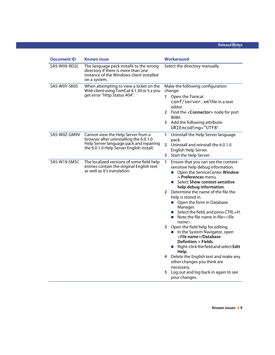| <b>Document ID</b> | <b>Known issue</b>                                                                                                                                                  | Workaround                                                                                                                                                                                                                                                                                                                                                                                                                                                                                                                                                                                                                                                                                                                                                                                                                |  |  |  |  |
|--------------------|---------------------------------------------------------------------------------------------------------------------------------------------------------------------|---------------------------------------------------------------------------------------------------------------------------------------------------------------------------------------------------------------------------------------------------------------------------------------------------------------------------------------------------------------------------------------------------------------------------------------------------------------------------------------------------------------------------------------------------------------------------------------------------------------------------------------------------------------------------------------------------------------------------------------------------------------------------------------------------------------------------|--|--|--|--|
| SAS-W0X-RD2L       | The language pack installs to the wrong<br>directory if there is more than one<br>instance of the Windows client installed<br>on a system.                          | Select the directory manually.                                                                                                                                                                                                                                                                                                                                                                                                                                                                                                                                                                                                                                                                                                                                                                                            |  |  |  |  |
| SAS-W0Y-SK0S       | When attempting to view a ticket on the<br>Web client using TomCat 4.1.30 or 5.x you<br>get error "Http Status 404".                                                | Make the following configuration<br>change:<br>1.<br>Open the Tomcat<br>conf/server.xmlfile in a text<br>editor.<br>2 Find the <connector> node for port<br/>8080.<br/>3 Add the following attribute:<br/>URIEncoding="UTF8".</connector>                                                                                                                                                                                                                                                                                                                                                                                                                                                                                                                                                                                 |  |  |  |  |
| SAS-W0Z-GM9V       | Cannot view the Help Server from a<br>browser after uninstalling the 6.0.1.0<br>Help Server language pack and repairing<br>the 6.0.1.0 Help Server English install. | Uninstall the Help Server language<br>1.<br>pack.<br>Uninstall and reinstall the 6.0.1.0<br>$\mathbf{2}^-$<br>English Help Server.<br>Start the Help Server.<br>3.                                                                                                                                                                                                                                                                                                                                                                                                                                                                                                                                                                                                                                                        |  |  |  |  |
| SAS-W19-SM5C       | The localized versions of some field help<br>entries contain the original English text<br>as well as it's translation.                                              | 1<br>Ensure that you can see the context-<br>sensitive help debug information.<br>Open the ServiceCenter Window<br>$\mathcal{L}_{\mathcal{A}}$<br>> Preferences menu.<br>■ Select Show context-sensitive<br>help debug information.<br>2 Determine the name of the file the<br>help is stored in.<br>• Open the form in Database<br>Manager.<br>■ Select the field, and press CTRL+H.<br>Note the file name in file= <file<br>m.<br/><math>name</math>.<br/>3 Open the field help for editing.<br/>In the System Navigator, open<br/><file name="">/Database<br/>Definition &gt; Fields.<br/>Right-click the field and select Edit<br/>Help.<br/>4 Delete the English text and make any<br/>other changes you think are<br/>necessary.<br/>Log out and log back in again to see<br/>5.<br/>your changes.</file></file<br> |  |  |  |  |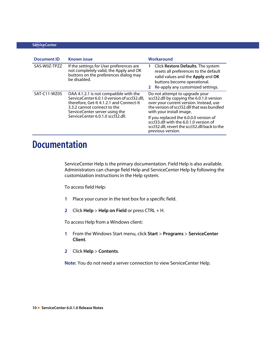| <b>Document ID</b> | <b>Known issue</b>                                                                                                                                                                                                                       | Workaround                                                                                                                                                                                                                                                                                                                                                 |
|--------------------|------------------------------------------------------------------------------------------------------------------------------------------------------------------------------------------------------------------------------------------|------------------------------------------------------------------------------------------------------------------------------------------------------------------------------------------------------------------------------------------------------------------------------------------------------------------------------------------------------------|
| SAS-W0Z-TPZZ       | If the settings for User preferences are<br>not completely valid, the Apply and OK<br>buttons on the preferences dialog may<br>be disabled.                                                                                              | Click Restore Defaults. The system<br>resets all preferences to the default<br>valid values and the Apply and OK<br>buttons become operational.<br>2 Re-apply any customized settings.                                                                                                                                                                     |
| SAT-C11-WZ0S       | OAA 4.1.2.1 is not compatible with the<br>ServiceCenter 6.0.1.0 version of sccl32.dll.<br>therefore, Get-It 4.1.2.1 and Connect-It<br>3.3.2 cannot connect to the<br>ServiceCenter server using the<br>ServiceCenter 6.0.1.0 sccl32.dll. | Do not attempt to upgrade your<br>sccl32.dll by copying the 6.0.1.0 version<br>over your current version. Instead, use<br>the version of sccl32.dll that was bundled<br>with your install image.<br>If you replaced the 6.0.0.0 version of<br>sccl33.dll with the 6.0.1.0 version of<br>sccl32.dll, revert the sccl32.dll back to the<br>previous version. |

# <span id="page-9-0"></span>**Documentation**

ServiceCenter Help is the primary documentation. Field Help is also available. Administrators can change field Help and ServiceCenter Help by following the customization instructions in the Help system.

To access field Help:

- **1** Place your cursor in the text box for a specific field.
- **2** Click **Help** > **Help on Field** or press CTRL + H.

To access Help from a Windows client:

- **1** From the Windows Start menu, click **Start** > **Programs** > **ServiceCenter Client**.
- **2** Click **Help** > **Contents**.

**Note:** You do not need a server connection to view ServiceCenter Help.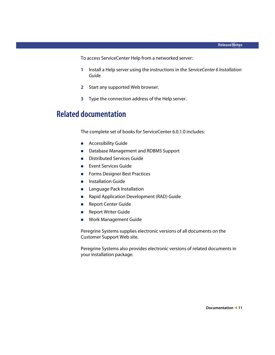To access ServiceCenter Help from a networked server:

- **1** Install a Help server using the instructions in the *ServiceCenter 6 Installation Guide.*
- **2** Start any supported Web browser.
- **3** Type the connection address of the Help server.

### <span id="page-10-0"></span>**Related documentation**

The complete set of books for ServiceCenter 6.0.1.0 includes:

- **Accessibility Guide**
- Database Management and RDBMS Support
- **Distributed Services Guide**
- **Exent Services Guide**
- **Forms Designer Best Practices**
- **Installation Guide**
- **Language Pack Installation**
- Rapid Application Development (RAD) Guide
- **Report Center Guide**
- **Report Writer Guide**
- **Nork Management Guide**

Peregrine Systems supplies electronic versions of all documents on the Customer Support Web site.

Peregrine Systems also provides electronic versions of related documents in your installation package.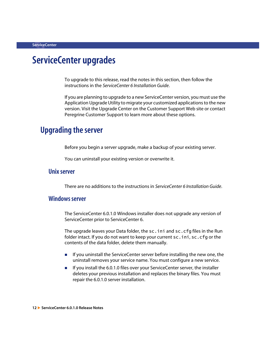# <span id="page-11-0"></span>**ServiceCenter upgrades**

To upgrade to this release, read the notes in this section, then follow the instructions in the *ServiceCenter 6 Installation Guide*.

If you are planning to upgrade to a new ServiceCenter version, you must use the Application Upgrade Utility to migrate your customized applications to the new version. Visit the Upgrade Center on the Customer Support Web site or contact Peregrine Customer Support to learn more about these options.

### <span id="page-11-1"></span>**Upgrading the server**

Before you begin a server upgrade, make a backup of your existing server.

You can uninstall your existing version or overwrite it.

#### **Unix server**

There are no additions to the instructions in *ServiceCenter 6 Installation Guide*.

#### **Windows server**

The ServiceCenter 6.0.1.0 Windows installer does not upgrade any version of ServiceCenter prior to ServiceCenter 6.

The upgrade leaves your Data folder, the sc.ini and sc.cfg files in the Run folder intact. If you do not want to keep your current sc.ini, sc.cfg or the contents of the data folder, delete them manually.

- If you uninstall the ServiceCenter server before installing the new one, the uninstall removes your service name. You must configure a new service.
- $\blacksquare$  If you install the 6.0.1.0 files over your ServiceCenter server, the installer deletes your previous installation and replaces the binary files. You must repair the 6.0.1.0 server installation.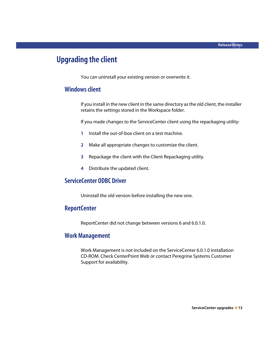### <span id="page-12-0"></span>**Upgrading the client**

You can uninstall your existing version or overwrite it.

#### **Windows client**

If you install in the new client in the same directory as the old client, the installer retains the settings stored in the Workspace folder.

If you made changes to the ServiceCenter client using the repackaging utility:

- **1** Install the out-of-box client on a test machine.
- **2** Make all appropriate changes to customize the client.
- **3** Repackage the client with the Client Repackaging utility.
- **4** Distribute the updated client.

#### **ServiceCenter ODBC Driver**

Uninstall the old version before installing the new one.

#### **ReportCenter**

ReportCenter did not change between versions 6 and 6.0.1.0.

#### **Work Management**

Work Management is not included on the ServiceCenter 6.0.1.0 installation CD-ROM. Check CenterPoint Web or contact Peregrine Systems Customer Support for availability.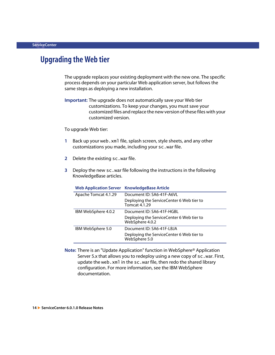### <span id="page-13-0"></span>**Upgrading the Web tier**

The upgrade replaces your existing deployment with the new one. The specific process depends on your particular Web application server, but follows the same steps as deploying a new installation.

**Important:** The upgrade does not automatically save your Web tier customizations. To keep your changes, you must save your customized files and replace the new version of these files with your customized version.

To upgrade Web tier:

- **1** Back up your web.xml file, splash screen, style sheets, and any other customizations you made, including your sc.war file.
- **2** Delete the existing sc.war file.
- **3** Deploy the new sc.war file following the instructions in the following KnowledgeBase articles.

| Apache Tomcat 4.1.29 |
|----------------------|
|                      |
| IBM WebSphere 4.0.2  |
|                      |
| IBM WebSphere 5.0    |
|                      |
|                      |

#### **Web Application Server KnowledgeBase Article**

**Note:** There is an "Update Application" function in WebSphere® Application Server 5.x that allows you to redeploy using a new copy of sc.war. First, update the web.xml in the sc.war file, then redo the shared library configuration. For more information, see the IBM WebSphere documentation.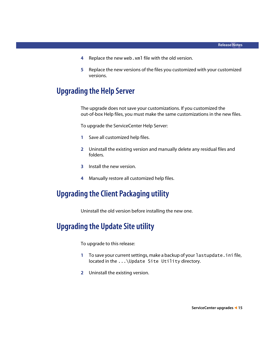- **4** Replace the new web.xml file with the old version.
- **5** Replace the new versions of the files you customized with your customized versions.

### <span id="page-14-0"></span>**Upgrading the Help Server**

The upgrade does not save your customizations. If you customized the out-of-box Help files, you must make the same customizations in the new files.

To upgrade the ServiceCenter Help Server:

- **1** Save all customized help files.
- **2** Uninstall the existing version and manually delete any residual files and folders.
- **3** Install the new version.
- **4** Manually restore all customized help files.

### <span id="page-14-1"></span>**Upgrading the Client Packaging utility**

Uninstall the old version before installing the new one.

### <span id="page-14-2"></span>**Upgrading the Update Site utility**

To upgrade to this release:

- **1** To save your current settings, make a backup of your lastupdate.ini file, located in the ...\Update Site Utility directory.
- **2** Uninstall the existing version.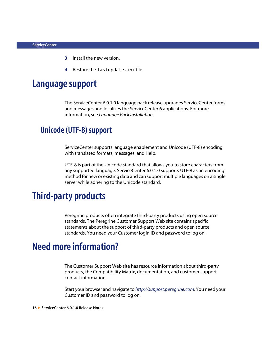- **3** Install the new version.
- **4** Restore the lastupdate.ini file.

## <span id="page-15-0"></span>**Language support**

The ServiceCenter 6.0.1.0 language pack release upgrades ServiceCenter forms and messages and localizes the ServiceCenter 6 applications. For more information, see *Language Pack Installation*.

### <span id="page-15-1"></span>**Unicode (UTF-8) support**

ServiceCenter supports language enablement and Unicode (UTF-8) encoding with translated formats, messages, and Help.

UTF-8 is part of the Unicode standard that allows you to store characters from any supported language. ServiceCenter 6.0.1.0 supports UTF-8 as an encoding method for new or existing data and can support multiple languages on a single server while adhering to the Unicode standard.

# <span id="page-15-2"></span>**Third-party products**

Peregrine products often integrate third-party products using open source standards. The Peregrine Customer Support Web site contains specific statements about the support of third-party products and open source standards. You need your Customer login ID and password to log on.

# <span id="page-15-3"></span>**Need more information?**

The Customer Support Web site has resource information about third-party products, the Compatibility Matrix, documentation, and customer support contact information.

Start your browser and navigate to *<http://support.peregrine.com>*. You need your Customer ID and password to log on.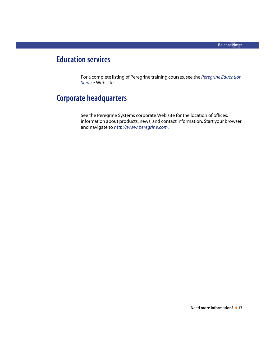## <span id="page-16-0"></span>**Education services**

For a complete listing of Peregrine training courses, see the *[Peregrine Education](http://www.peregrine.com/customers/value-path/education/)  [Service](http://www.peregrine.com/customers/value-path/education/)* Web site*.*

### <span id="page-16-1"></span>**Corporate headquarters**

See the Peregrine Systems corporate Web site for the location of offices, information about products, news, and contact information. Start your browser and navigate to *[http://www.peregrine.com.](http://www.peregrine.com/)*